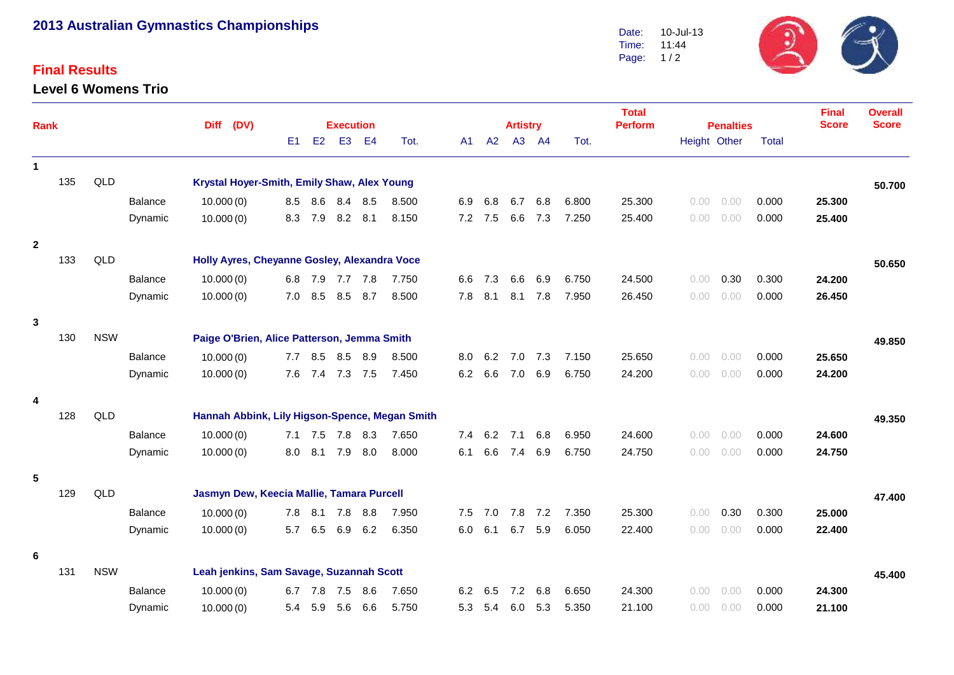# **2013 Australian Gymnastics Championships**

### **Final Results**

### **Level 6 Womens Trio**



| <b>Rank</b>    |     |                                                  |                |                                                |                                          |                                                |             |         |                                                |     |     | <b>Total</b><br><b>Perform</b> |        |       | <b>Final</b>                                     | <b>Overall</b> |              |              |        |
|----------------|-----|--------------------------------------------------|----------------|------------------------------------------------|------------------------------------------|------------------------------------------------|-------------|---------|------------------------------------------------|-----|-----|--------------------------------|--------|-------|--------------------------------------------------|----------------|--------------|--------------|--------|
|                |     |                                                  | Diff (DV)      |                                                | E1                                       | <b>Execution</b><br>E2<br>E4<br>E <sub>3</sub> |             | Tot.    | <b>Artistry</b><br>A3 A4<br>A2<br>Tot.<br>A1 - |     |     |                                |        |       | <b>Penalties</b><br>Height Other<br><b>Total</b> |                | <b>Score</b> | <b>Score</b> |        |
|                |     |                                                  |                |                                                |                                          |                                                |             |         |                                                |     |     |                                |        |       |                                                  |                |              |              |        |
| $\mathbf{1}$   |     |                                                  |                |                                                |                                          |                                                |             |         |                                                |     |     |                                |        |       |                                                  |                |              |              |        |
|                | 135 | QLD                                              |                | Krystal Hoyer-Smith, Emily Shaw, Alex Young    |                                          |                                                |             |         |                                                |     |     |                                |        |       |                                                  |                |              |              | 50.700 |
|                |     |                                                  | <b>Balance</b> | 10.000(0)                                      | 8.5                                      |                                                | 8.6 8.4 8.5 |         | 8.500                                          | 6.9 | 6.8 | 6.7                            | 6.8    | 6.800 | 25.300                                           | 0.00<br>0.00   | 0.000        | 25.300       |        |
|                |     |                                                  | Dynamic        | 10.000(0)                                      | 8.3                                      | 7.9                                            |             | 8.2 8.1 | 8.150                                          | 7.2 | 7.5 | 6.6                            | 7.3    | 7.250 | 25.400                                           | 0.00<br>0.00   | 0.000        | 25.400       |        |
| $\overline{2}$ |     |                                                  |                |                                                |                                          |                                                |             |         |                                                |     |     |                                |        |       |                                                  |                |              |              |        |
|                | 133 | QLD                                              |                | Holly Ayres, Cheyanne Gosley, Alexandra Voce   |                                          |                                                |             |         |                                                |     |     |                                |        |       |                                                  |                |              |              | 50.650 |
|                |     |                                                  | Balance        | 10.000(0)                                      |                                          | 6.8 7.9 7.7 7.8                                |             |         | 7.750                                          | 6.6 | 7.3 | 6.6                            | 6.9    | 6.750 | 24.500                                           | 0.30<br>0.00   | 0.300        | 24.200       |        |
|                |     |                                                  | Dynamic        | 10.000(0)                                      | 7.0                                      | 8.5                                            | 8.5         | 8.7     | 8.500                                          | 7.8 | 8.1 | 8.1                            | 7.8    | 7.950 | 26.450                                           | 0.00<br>0.00   | 0.000        | 26.450       |        |
| $\mathbf{3}$   |     |                                                  |                |                                                |                                          |                                                |             |         |                                                |     |     |                                |        |       |                                                  |                |              |              |        |
|                | 130 | <b>NSW</b>                                       |                | Paige O'Brien, Alice Patterson, Jemma Smith    |                                          |                                                |             |         |                                                |     |     |                                |        |       |                                                  |                |              |              | 49.850 |
|                |     |                                                  | <b>Balance</b> | 10.000(0)                                      | 7.7                                      | 8.5                                            |             | 8.5 8.9 | 8.500                                          | 8.0 | 6.2 | 7.0                            | 7.3    | 7.150 | 25.650                                           | 0.00<br>0.00   | 0.000        | 25.650       |        |
|                |     |                                                  | Dynamic        | 10.000(0)                                      | 7.6                                      |                                                | 7.4 7.3 7.5 |         | 7.450                                          | 6.2 | 6.6 | 7.0                            | 6.9    | 6.750 | 24.200                                           | 0.00<br>0.00   | 0.000        | 24.200       |        |
| $\overline{4}$ |     |                                                  |                |                                                |                                          |                                                |             |         |                                                |     |     |                                |        |       |                                                  |                |              |              |        |
|                | 128 | QLD                                              |                | Hannah Abbink, Lily Higson-Spence, Megan Smith |                                          |                                                |             |         |                                                |     |     |                                |        |       |                                                  |                |              |              | 49.350 |
|                |     |                                                  | Balance        | 10.000(0)                                      |                                          | 7.1 7.5 7.8 8.3                                |             |         | 7.650                                          | 7.4 | 6.2 | 7.1                            | 6.8    | 6.950 | 24.600                                           | 0.00<br>0.00   | 0.000        | 24.600       |        |
|                |     |                                                  | Dynamic        | 10.000(0)                                      | 8.0                                      |                                                | 8.1 7.9 8.0 |         | 8.000                                          | 6.1 | 6.6 | 7.4                            | 6.9    | 6.750 | 24.750                                           | 0.00<br>0.00   | 0.000        | 24.750       |        |
| 5              |     |                                                  |                |                                                |                                          |                                                |             |         |                                                |     |     |                                |        |       |                                                  |                |              |              |        |
|                | 129 | QLD<br>Jasmyn Dew, Keecia Mallie, Tamara Purcell |                |                                                |                                          |                                                |             |         |                                                |     |     |                                | 47.400 |       |                                                  |                |              |              |        |
|                |     |                                                  | Balance        | 10.000(0)                                      |                                          | 7.8 8.1                                        |             | 7.8 8.8 | 7.950                                          | 7.5 | 7.0 | 7.8                            | 7.2    | 7.350 | 25.300                                           | 0.30<br>0.00   | 0.300        | 25.000       |        |
|                |     |                                                  | Dynamic        | 10.000(0)                                      | 5.7                                      | 6.5                                            | 6.9         | 6.2     | 6.350                                          | 6.0 | 6.1 | 6.7                            | 5.9    | 6.050 | 22.400                                           | 0.00<br>0.00   | 0.000        | 22.400       |        |
|                |     |                                                  |                |                                                |                                          |                                                |             |         |                                                |     |     |                                |        |       |                                                  |                |              |              |        |
| 6              |     |                                                  |                |                                                |                                          |                                                |             |         |                                                |     |     |                                |        |       |                                                  |                |              |              |        |
|                | 131 | <b>NSW</b>                                       |                |                                                | Leah jenkins, Sam Savage, Suzannah Scott |                                                |             |         |                                                |     |     |                                |        |       |                                                  | 45.400         |              |              |        |
|                |     |                                                  | <b>Balance</b> | 10.000(0)                                      | 6.7                                      | 7.8                                            | 7.5         | 8.6     | 7.650                                          | 6.2 | 6.5 | 7.2                            | 6.8    | 6.650 | 24.300                                           | 0.00<br>0.00   | 0.000        | 24.300       |        |
|                |     |                                                  | Dynamic        | 10.000(0)                                      | 5.4                                      | 5.9                                            | 5.6         | 6.6     | 5.750                                          | 5.3 | 5.4 | 6.0                            | 5.3    | 5.350 | 21.100                                           | 0.00<br>0.00   | 0.000        | 21.100       |        |